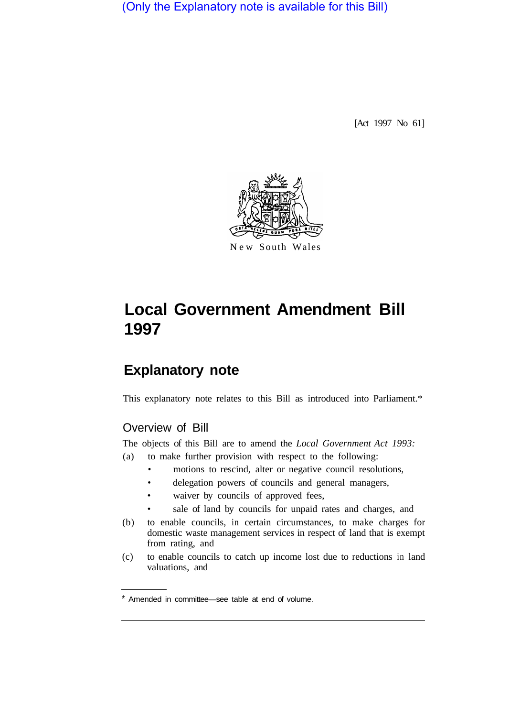(Only the Explanatory note is available for this Bill)

[Act 1997 No 61]



# **Local Government Amendment Bill 1997**

# **Explanatory note**

This explanatory note relates to this Bill as introduced into Parliament.\*

## Overview of Bill

The objects of this Bill are to amend the *Local Government Act 1993:* 

- (a) to make further provision with respect to the following:
	- motions to rescind, alter or negative council resolutions,
	- delegation powers of councils and general managers,
	- waiver by councils of approved fees,
	- sale of land by councils for unpaid rates and charges, and
- (b) to enable councils, in certain circumstances, to make charges for domestic waste management services in respect of land that is exempt from rating, and
- (c) to enable councils to catch up income lost due to reductions in land valuations, and

Amended in committee—see table at end of volume.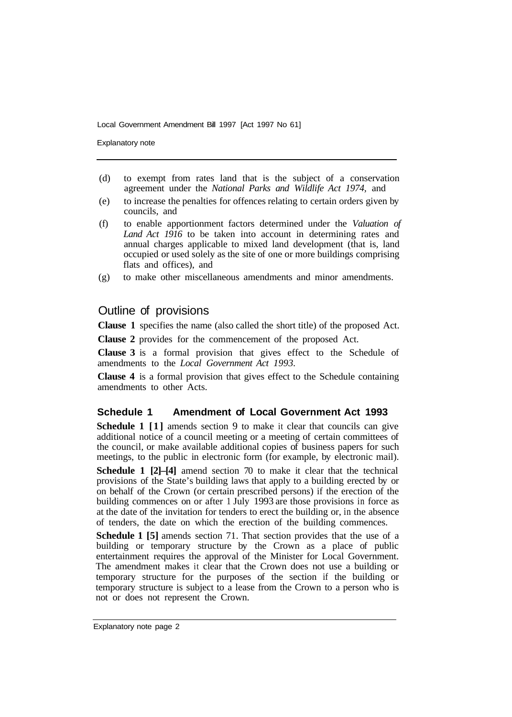Explanatory note

- (d) to exempt from rates land that is the subject of a conservation agreement under the *National Parks and Wildlife Act 1974,* and
- (e) to increase the penalties for offences relating to certain orders given by councils, and
- (f) to enable apportionment factors determined under the *Valuation of Land Act 1916* to be taken into account in determining rates and annual charges applicable to mixed land development (that is, land occupied or used solely as the site of one or more buildings comprising flats and offices), and
- (g) to make other miscellaneous amendments and minor amendments.

### Outline of provisions

**Clause 1** specifies the name (also called the short title) of the proposed Act.

**Clause 2** provides for the commencement of the proposed Act.

**Clause 3** is a formal provision that gives effect to the Schedule of amendments to the *Local Government Act 1993.* 

**Clause 4** is a formal provision that gives effect to the Schedule containing amendments to other Acts.

#### **Schedule 1 Amendment of Local Government Act 1993**

**Schedule 1** [1] amends section 9 to make it clear that councils can give additional notice of a council meeting or a meeting of certain committees of the council, or make available additional copies of business papers for such meetings, to the public in electronic form (for example, by electronic mail).

**Schedule 1 [2]–[4]** amend section 70 to make it clear that the technical provisions of the State's building laws that apply to a building erected by or on behalf of the Crown (or certain prescribed persons) if the erection of the building commences on or after 1 July 1993 are those provisions in force as at the date of the invitation for tenders to erect the building or, in the absence of tenders, the date on which the erection of the building commences.

**Schedule 1 [5]** amends section 71. That section provides that the use of a building or temporary structure by the Crown as a place of public entertainment requires the approval of the Minister for Local Government. The amendment makes it clear that the Crown does not use a building or temporary structure for the purposes of the section if the building or temporary structure is subject to a lease from the Crown to a person who is not or does not represent the Crown.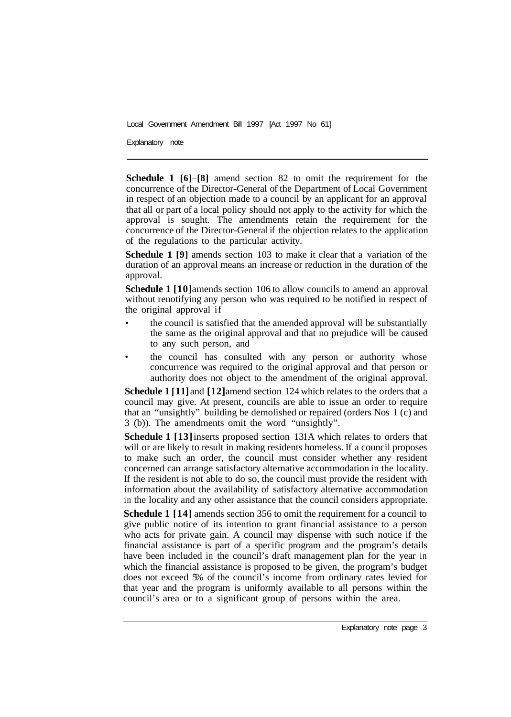Explanatory note

**Schedule 1 [6]–[8]** amend section 82 to omit the requirement for the concurrence of the Director-General of the Department of Local Government in respect of an objection made to a council by an applicant for an approval that all or part of a local policy should not apply to the activity for which the approval is sought. The amendments retain the requirement for the concurrence of the Director-General if the objection relates to the application of the regulations to the particular activity.

**Schedule 1** [9] amends section 103 to make it clear that a variation of the duration of an approval means an increase or reduction in the duration of the approval.

**Schedule 1 [10]** amends section 106 to allow councils to amend an approval without renotifying any person who was required to be notified in respect of the original approval if

- the council is satisfied that the amended approval will be substantially the same as the original approval and that no prejudice will be caused to any such person, and
- the council has consulted with any person or authority whose concurrence was required to the original approval and that person or authority does not object to the amendment of the original approval.

**Schedule 1** [ **11]** and **[12]** amend section 124 which relates to the orders that a council may give. At present, councils are able to issue an order to require that an "unsightly" building be demolished or repaired (orders Nos 1 (c) and 3 (b)). The amendments omit the word "unsightly".

**Schedule 1 [13] inserts proposed section 131A which relates to orders that** will or are likely to result in making residents homeless. If a council proposes to make such an order, the council must consider whether any resident concerned can arrange satisfactory alternative accommodation in the locality. If the resident is not able to do so, the council must provide the resident with information about the availability of satisfactory alternative accommodation in the locality and any other assistance that the council considers appropriate.

**Schedule 1 [14]** amends section 356 to omit the requirement for a council to give public notice of its intention to grant financial assistance to a person who acts for private gain. A council may dispense with such notice if the financial assistance is part of a specific program and the program's details have been included in the council's draft management plan for the year in which the financial assistance is proposed to be given, the program's budget does not exceed 5% of the council's income from ordinary rates levied for that year and the program is uniformly available to all persons within the council's area or to a significant group of persons within the area.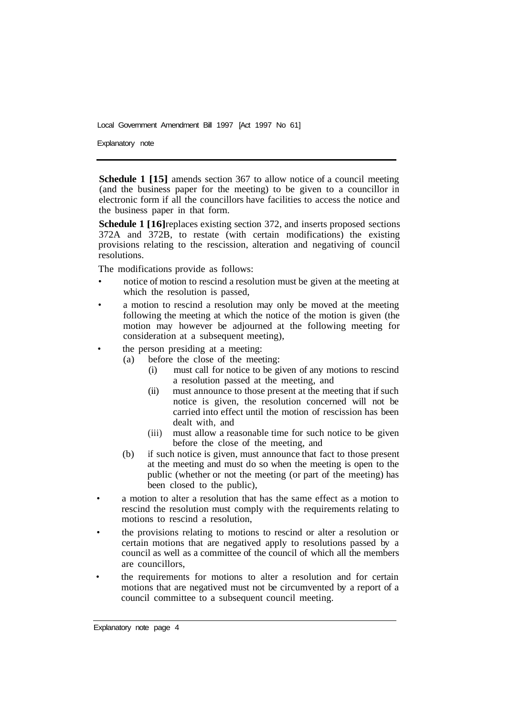Explanatory note

**Schedule 1 [15]** amends section 367 to allow notice of a council meeting (and the business paper for the meeting) to be given to a councillor in electronic form if all the councillors have facilities to access the notice and the business paper in that form.

**Schedule 1 [16]** replaces existing section 372, and inserts proposed sections 372A and 372B, to restate (with certain modifications) the existing provisions relating to the rescission, alteration and negativing of council resolutions.

The modifications provide as follows:

- notice of motion to rescind a resolution must be given at the meeting at which the resolution is passed,
- a motion to rescind a resolution may only be moved at the meeting following the meeting at which the notice of the motion is given (the motion may however be adjourned at the following meeting for consideration at a subsequent meeting),
- the person presiding at a meeting:
	- (a) before the close of the meeting:
		- (i) must call for notice to be given of any motions to rescind a resolution passed at the meeting, and
		- (ii) must announce to those present at the meeting that if such notice is given, the resolution concerned will not be carried into effect until the motion of rescission has been dealt with, and
		- (iii) must allow a reasonable time for such notice to be given before the close of the meeting, and
	- (b) if such notice is given, must announce that fact to those present at the meeting and must do so when the meeting is open to the public (whether or not the meeting (or part of the meeting) has been closed to the public),
- a motion to alter a resolution that has the same effect as a motion to rescind the resolution must comply with the requirements relating to motions to rescind a resolution,
- the provisions relating to motions to rescind or alter a resolution or certain motions that are negatived apply to resolutions passed by a council as well as a committee of the council of which all the members are councillors,
- the requirements for motions to alter a resolution and for certain motions that are negatived must not be circumvented by a report of a council committee to a subsequent council meeting.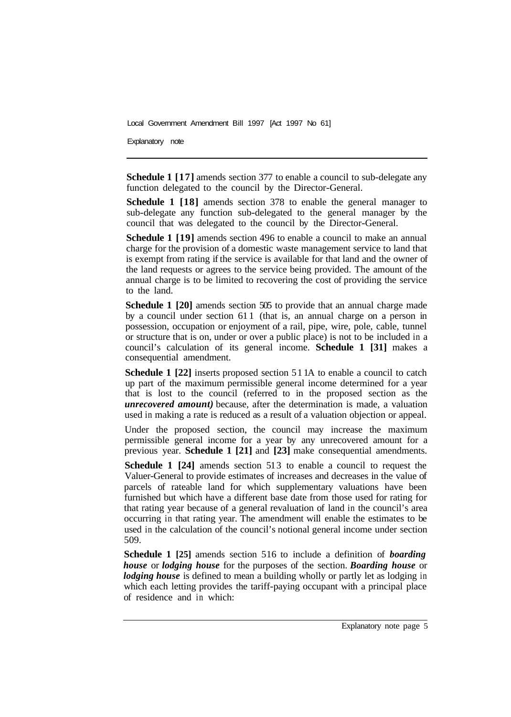Explanatory note

**Schedule 1 [17]** amends section 377 to enable a council to sub-delegate any function delegated to the council by the Director-General.

**Schedule 1 [18]** amends section 378 to enable the general manager to sub-delegate any function sub-delegated to the general manager by the council that was delegated to the council by the Director-General.

**Schedule 1 [19]** amends section 496 to enable a council to make an annual charge for the provision of a domestic waste management service to land that is exempt from rating if the service is available for that land and the owner of the land requests or agrees to the service being provided. The amount of the annual charge is to be limited to recovering the cost of providing the service to the land.

**Schedule 1 [20]** amends section 505 to provide that an annual charge made by a council under section 61 1 (that is, an annual charge on a person in possession, occupation or enjoyment of a rail, pipe, wire, pole, cable, tunnel or structure that is on, under or over a public place) is not to be included in a council's calculation of its general income. **Schedule 1 [31]** makes a consequential amendment.

**Schedule 1 [22]** inserts proposed section 51 1A to enable a council to catch up part of the maximum permissible general income determined for a year that is lost to the council (referred to in the proposed section as the *unrecovered amount)* because, after the determination is made, a valuation used in making a rate is reduced as a result of a valuation objection or appeal.

Under the proposed section, the council may increase the maximum permissible general income for a year by any unrecovered amount for a previous year. **Schedule 1 [21]** and **[23]** make consequential amendments.

**Schedule 1 [24]** amends section 513 to enable a council to request the Valuer-General to provide estimates of increases and decreases in the value of parcels of rateable land for which supplementary valuations have been furnished but which have a different base date from those used for rating for that rating year because of a general revaluation of land in the council's area occurring in that rating year. The amendment will enable the estimates to be used in the calculation of the council's notional general income under section 509.

**Schedule 1 [25]** amends section 516 to include a definition of *boarding house* or *lodging house* for the purposes of the section. *Boarding house* or *lodging house* is defined to mean a building wholly or partly let as lodging in which each letting provides the tariff-paying occupant with a principal place of residence and in which: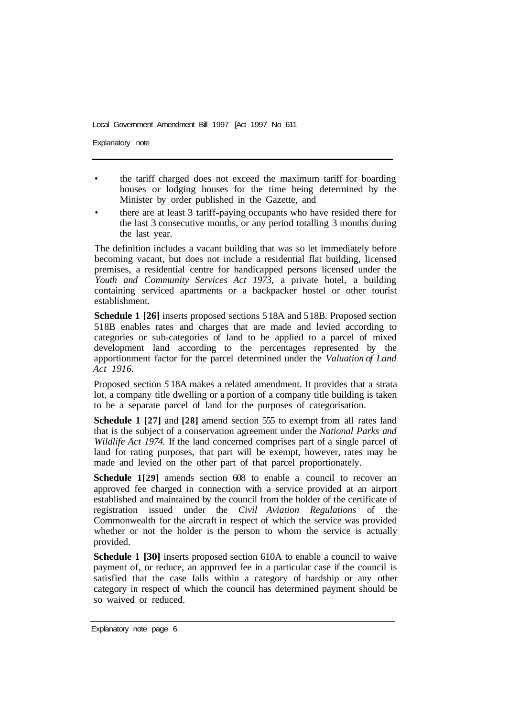Explanatory note

- the tariff charged does not exceed the maximum tariff for boarding houses or lodging houses for the time being determined by the Minister by order published in the Gazette, and
- there are at least 3 tariff-paying occupants who have resided there for the last 3 consecutive months, or any period totalling 3 months during the last year.

The definition includes a vacant building that was so let immediately before becoming vacant, but does not include a residential flat building, licensed premises, a residential centre for handicapped persons licensed under the *Youth and Community Services Act 1973,* a private hotel, a building containing serviced apartments or a backpacker hostel or other tourist establishment.

**Schedule 1 [26]** inserts proposed sections 5 18A and 5 18B. Proposed section 51 8B enables rates and charges that are made and levied according to categories or sub-categories of land to be applied to a parcel of mixed development land according to the percentages represented by the apportionment factor for the parcel determined under the *Valuation of Land Act 1916.* 

Proposed section *5* 18A makes a related amendment. It provides that a strata lot, a company title dwelling or a portion of a company title building is taken to be a separate parcel of land for the purposes of categorisation.

**Schedule 1 [27]** and **[28]** amend section 555 to exempt from all rates land that is the subject of a conservation agreement under the *National Parks and Wildlife Act 1974.* If the land concerned comprises part of a single parcel of land for rating purposes, that part will be exempt, however, rates may be made and levied on the other part of that parcel proportionately.

**Schedule 1[29]** amends section 608 to enable a council to recover an approved fee charged in connection with a service provided at an airport established and maintained by the council from the holder of the certificate of registration issued under the *Civil Aviation Regulations* of the Commonwealth for the aircraft in respect of which the service was provided whether or not the holder is the person to whom the service is actually provided.

**Schedule 1 [30]** inserts proposed section 610A to enable a council to waive payment of, or reduce, an approved fee in a particular case if the council is satisfied that the case falls within a category of hardship or any other category in respect of which the council has determined payment should be so waived or reduced.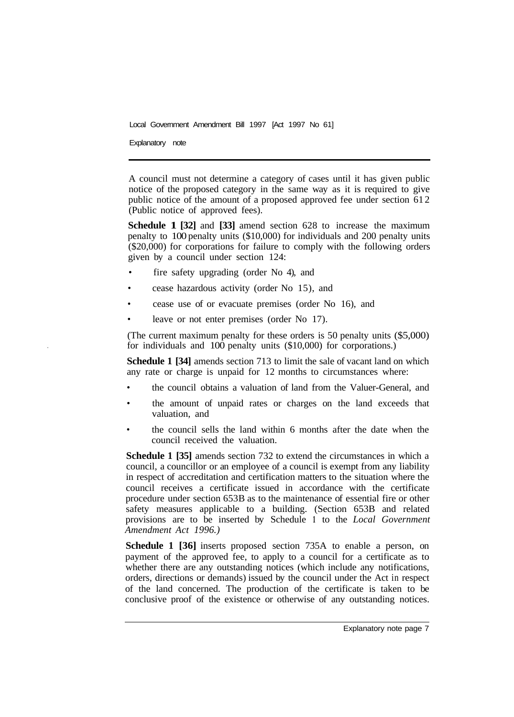Explanatory note

A council must not determine a category of cases until it has given public notice of the proposed category in the same way as it is required to give public notice of the amount of a proposed approved fee under section 612 (Public notice of approved fees).

**Schedule 1 [32]** and **[33]** amend section 628 to increase the maximum penalty to 100 penalty units (\$10,000) for individuals and 200 penalty units (\$20,000) for corporations for failure to comply with the following orders given by a council under section 124:

- fire safety upgrading (order No 4), and
- cease hazardous activity (order No 15), and
- cease use of or evacuate premises (order No 16), and
- leave or not enter premises (order No 17).

(The current maximum penalty for these orders is 50 penalty units (\$5,000) for individuals and 100 penalty units (\$10,000) for corporations.)

**Schedule 1 [34]** amends section 713 to limit the sale of vacant land on which any rate or charge is unpaid for 12 months to circumstances where:

- the council obtains a valuation of land from the Valuer-General, and
- the amount of unpaid rates or charges on the land exceeds that valuation, and
- the council sells the land within 6 months after the date when the council received the valuation.

**Schedule 1 [35]** amends section 732 to extend the circumstances in which a council, a councillor or an employee of a council is exempt from any liability in respect of accreditation and certification matters to the situation where the council receives a certificate issued in accordance with the certificate procedure under section 653B as to the maintenance of essential fire or other safety measures applicable to a building. (Section 653B and related provisions are to be inserted by Schedule **1** to the *Local Government Amendment Act 1996.)* 

**Schedule 1 [36]** inserts proposed section 735A to enable a person, on payment of the approved fee, to apply to a council for a certificate as to whether there are any outstanding notices (which include any notifications, orders, directions or demands) issued by the council under the Act in respect of the land concerned. The production of the certificate is taken to be conclusive proof of the existence or otherwise of any outstanding notices.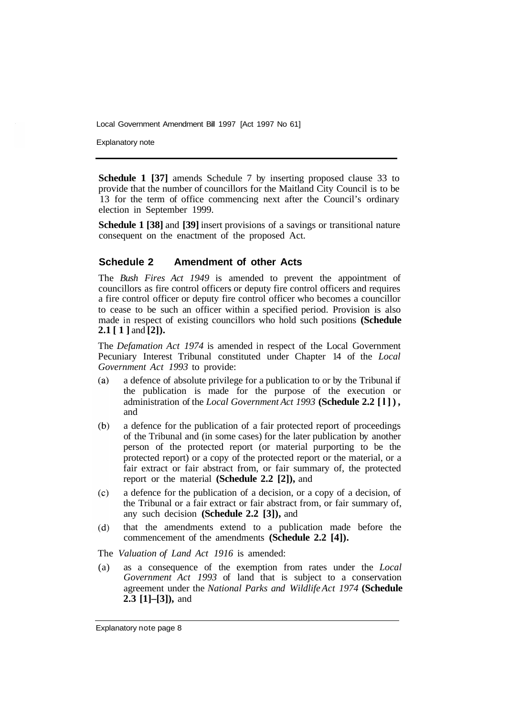Explanatory note

**Schedule 1 [37]** amends Schedule 7 by inserting proposed clause 33 to provide that the number of councillors for the Maitland City Council is to be 13 for the term of office commencing next after the Council's ordinary election in September 1999.

**Schedule 1 [38]** and **[39]** insert provisions of a savings or transitional nature consequent on the enactment of the proposed Act.

#### **Schedule 2 Amendment of other Acts**

The *Bush Fires Act 1949* is amended to prevent the appointment of councillors as fire control officers or deputy fire control officers and requires a fire control officer or deputy fire control officer who becomes a councillor to cease to be such an officer within a specified period. Provision is also made in respect of existing councillors who hold such positions **(Schedule 2.1 [1]** and **[2]).** 

The *Defamation Act 1974* is amended in respect of the Local Government Pecuniary Interest Tribunal constituted under Chapter 14 of the *Local Government Act 1993* to provide:

- $(a)$ a defence of absolute privilege for a publication to or by the Tribunal if the publication is made for the purpose of the execution or administration of the *Local Government Act 1993* **(Schedule 2.2 [l]),**  and
- a defence for the publication of a fair protected report of proceedings  $(b)$ of the Tribunal and (in some cases) for the later publication by another person of the protected report (or material purporting to be the protected report) or a copy of the protected report or the material, or a fair extract or fair abstract from, or fair summary of, the protected report or the material **(Schedule 2.2 [2]),** and
- $(c)$ a defence for the publication of a decision, or a copy of a decision, of the Tribunal or a fair extract or fair abstract from, or fair summary of, any such decision **(Schedule 2.2 [3]),** and
- $(d)$ that the amendments extend to a publication made before the commencement of the amendments **(Schedule 2.2 [4]).**
- The *Valuation of Land Act 1916* is amended:
- (a) as a consequence of the exemption from rates under the *Local Government Act 1993* of land that is subject to a conservation agreement under the *National Parks and Wildlife Act 1974* **(Schedule 2.3 [1]–[3]),** and

Explanatory note page 8